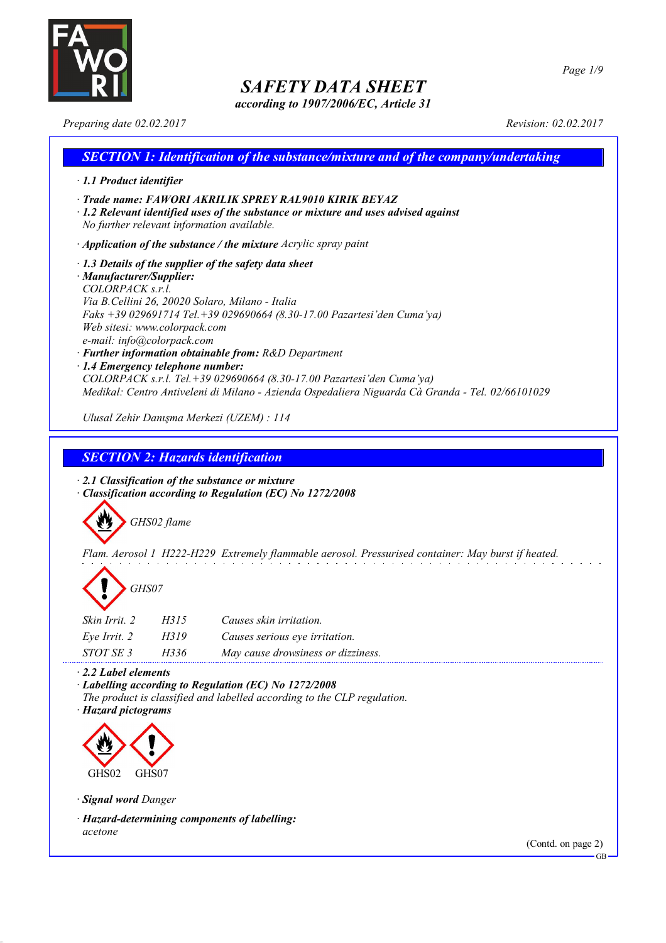

*according to 1907/2006/EC, Article 31*

*Preparing date 02.02.2017 Revision: 02.02.2017*

*Page 1/9*

## *SECTION 1: Identification of the substance/mixture and of the company/undertaking · 1.1 Product identifier · Trade name: FAWORI AKRILIK SPREY RAL9010 KIRIK BEYAZ · 1.2 Relevant identified uses of the substance or mixture and uses advised against No further relevant information available. · Application of the substance / the mixture Acrylic spray paint · 1.3 Details of the supplier of the safety data sheet · Manufacturer/Supplier: COLORPACK s.r.l. Via B.Cellini 26, 20020 Solaro, Milano - Italia Faks +39 029691714 Tel.+39 029690664 (8.30-17.00 Pazartesi'den Cuma'ya) Web sitesi: www.colorpack.com e-mail: info@colorpack.com · Further information obtainable from: R&D Department · 1.4 Emergency telephone number: COLORPACK s.r.l. Tel.+39 029690664 (8.30-17.00 Pazartesi'den Cuma'ya) Medikal: Centro Antiveleni di Milano - Azienda Ospedaliera Niguarda Cà Granda - Tel. 02/66101029 Ulusal Zehir Danışma Merkezi (UZEM) : 114*

## *SECTION 2: Hazards identification*

*· 2.1 Classification of the substance or mixture · Classification according to Regulation (EC) No 1272/2008*



*Flam. Aerosol 1 H222-H229 Extremely flammable aerosol. Pressurised container: May burst if heated.*



| Skin Irrit. 2 | H315 | Causes skin irritation.            |
|---------------|------|------------------------------------|
| Eye Irrit. 2  | H319 | Causes serious eye irritation.     |
| STOT SE 3     | H336 | May cause drowsiness or dizziness. |

*· 2.2 Label elements*

*· Labelling according to Regulation (EC) No 1272/2008 The product is classified and labelled according to the CLP regulation.*

*· Hazard pictograms*



*· Signal word Danger*

*· Hazard-determining components of labelling: acetone*

(Contd. on page 2)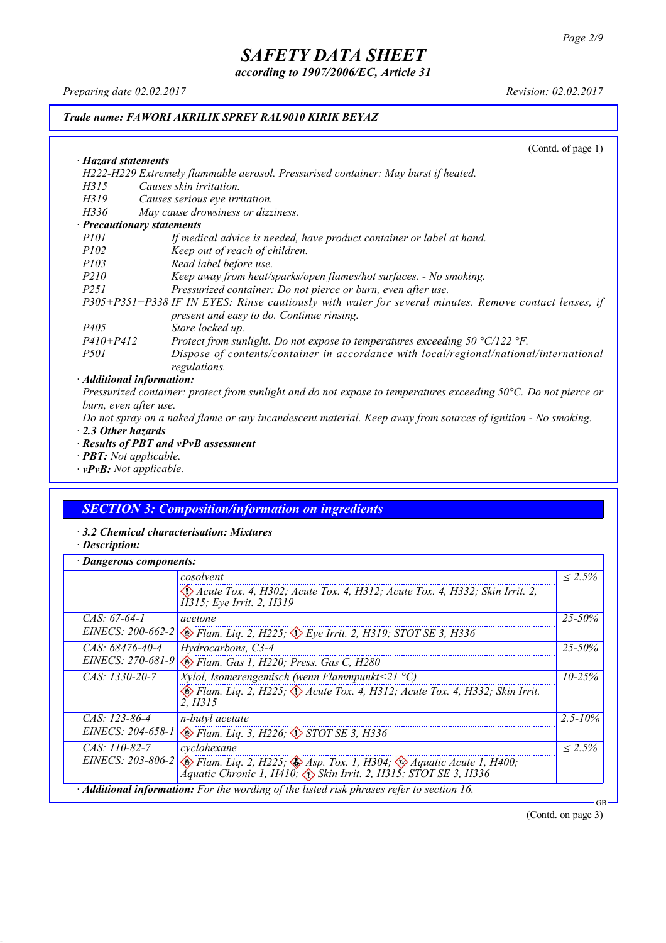*according to 1907/2006/EC, Article 31*

*Preparing date 02.02.2017 Revision: 02.02.2017*

*· Hazard statements*

### *Trade name: FAWORI AKRILIK SPREY RAL9010 KIRIK BEYAZ*

(Contd. of page 1)

|                            | H222-H229 Extremely flammable aerosol. Pressurised container: May burst if heated.                    |
|----------------------------|-------------------------------------------------------------------------------------------------------|
| H315                       | Causes skin irritation.                                                                               |
| H319                       | Causes serious eye irritation.                                                                        |
| H336                       | May cause drowsiness or dizziness.                                                                    |
| · Precautionary statements |                                                                                                       |
| <i>P101</i>                | If medical advice is needed, have product container or label at hand.                                 |
| <i>P102</i>                | Keep out of reach of children.                                                                        |
| <i>P103</i>                | Read label before use.                                                                                |
| <i>P210</i>                | Keep away from heat/sparks/open flames/hot surfaces. - No smoking.                                    |
| <i>P251</i>                | Pressurized container: Do not pierce or burn, even after use.                                         |
|                            | P305+P351+P338 IF IN EYES: Rinse cautiously with water for several minutes. Remove contact lenses, if |
|                            | present and easy to do. Continue rinsing.                                                             |
| <i>P405</i>                | Store locked up.                                                                                      |
| $P410 + P412$              | Protect from sunlight. Do not expose to temperatures exceeding $50 \degree C/122 \degree F$ .         |
| <i>P501</i>                | Dispose of contents/container in accordance with local/regional/national/international                |
|                            | regulations.                                                                                          |
| · Additional information:  |                                                                                                       |
|                            |                                                                                                       |

Pressurized container: protect from sunlight and do not expose to temperatures exceeding 50°C. Do not pierce or *burn, even after use.*

Do not spray on a naked flame or any incandescent material. Keep away from sources of ignition - No smoking. *· 2.3 Other hazards*

- *· Results of PBT and vPvB assessment*
- *· PBT: Not applicable.*
- *· vPvB: Not applicable.*

## *SECTION 3: Composition/information on ingredients*

- *· 3.2 Chemical characterisation: Mixtures*
- *· Description:*

| Dangerous components: |                                                                                                                                                                                                  |              |  |
|-----------------------|--------------------------------------------------------------------------------------------------------------------------------------------------------------------------------------------------|--------------|--|
|                       | cosolvent                                                                                                                                                                                        | $< 2.5\%$    |  |
|                       | Acute Tox. 4, H302; Acute Tox. 4, H312; Acute Tox. 4, H332; Skin Irrit. 2,<br>H315; Eye Irrit. 2, H319                                                                                           |              |  |
| $CAS: 67-64-1$        | acetone                                                                                                                                                                                          | $25 - 50\%$  |  |
|                       | EINECS: 200-662-2 $\otimes$ Flam. Liq. 2, H225; $\otimes$ Eye Irrit. 2, H319; STOT SE 3, H336                                                                                                    |              |  |
| $CAS: 68476-40-4$     | Hydrocarbons, C3-4                                                                                                                                                                               | $25 - 50\%$  |  |
|                       | EINECS: 270-681-9 & Flam. Gas 1, H220; Press. Gas C, H280                                                                                                                                        |              |  |
| $CAS: 1330-20-7$      | Xylol, Isomerengemisch (wenn Flammpunkt<21 $^{\circ}$ C)                                                                                                                                         | $10 - 25\%$  |  |
|                       | Elam. Liq. 2, H225; $\Diamond$ Acute Tox. 4, H312; Acute Tox. 4, H332; Skin Irrit.<br>2. H315                                                                                                    |              |  |
| $CAS: 123-86-4$       | n-butyl acetate                                                                                                                                                                                  | $2.5 - 10\%$ |  |
|                       | EINECS: 204-658-1 & Flam. Liq. 3, H226; STOT SE 3, H336                                                                                                                                          |              |  |
| $CAS: 110-82-7$       | cyclohexane                                                                                                                                                                                      | $< 2.5\%$    |  |
|                       | EINECS: 203-806-2 $\otimes$ Flam. Liq. 2, H225; $\otimes$ Asp. Tox. 1, H304; $\otimes$ Aquatic Acute 1, H400;<br>Aquatic Chronic 1, H410; $\langle \rangle$ Skin Irrit. 2, H315; STOT SE 3, H336 |              |  |
|                       | $\cdot$ <b>Additional information:</b> For the wording of the listed risk phrases refer to section 16.                                                                                           |              |  |

(Contd. on page 3)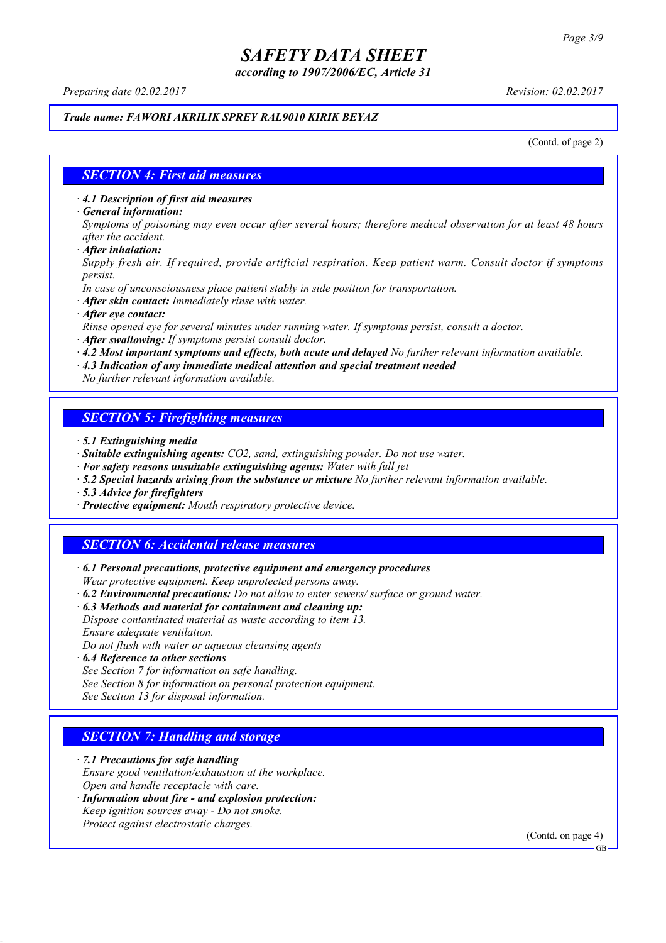*according to 1907/2006/EC, Article 31*

*Preparing date 02.02.2017 Revision: 02.02.2017*

#### *Trade name: FAWORI AKRILIK SPREY RAL9010 KIRIK BEYAZ*

(Contd. of page 2)

#### *SECTION 4: First aid measures*

*· 4.1 Description of first aid measures*

*· General information:*

Symptoms of poisoning may even occur after several hours; therefore medical observation for at least 48 hours *after the accident.*

*· After inhalation:*

*Supply fresh air. If required, provide artificial respiration. Keep patient warm. Consult doctor if symptoms persist.*

*In case of unconsciousness place patient stably in side position for transportation.*

- *· After skin contact: Immediately rinse with water.*
- *· After eye contact:*

*Rinse opened eye for several minutes under running water. If symptoms persist, consult a doctor.*

*· After swallowing: If symptoms persist consult doctor.*

*· 4.2 Most important symptoms and effects, both acute and delayed No further relevant information available.*

*· 4.3 Indication of any immediate medical attention and special treatment needed*

*No further relevant information available.*

### *SECTION 5: Firefighting measures*

- *· 5.1 Extinguishing media*
- *· Suitable extinguishing agents: CO2, sand, extinguishing powder. Do not use water.*
- *· For safety reasons unsuitable extinguishing agents: Water with full jet*
- *· 5.2 Special hazards arising from the substance or mixture No further relevant information available.*
- *· 5.3 Advice for firefighters*
- *· Protective equipment: Mouth respiratory protective device.*

### *SECTION 6: Accidental release measures*

*· 6.1 Personal precautions, protective equipment and emergency procedures Wear protective equipment. Keep unprotected persons away.*

*· 6.2 Environmental precautions: Do not allow to enter sewers/ surface or ground water.*

*· 6.3 Methods and material for containment and cleaning up:*

*Dispose contaminated material as waste according to item 13. Ensure adequate ventilation.*

*Do not flush with water or aqueous cleansing agents*

- *· 6.4 Reference to other sections*
- *See Section 7 for information on safe handling.*

*See Section 8 for information on personal protection equipment.*

*See Section 13 for disposal information.*

### *SECTION 7: Handling and storage*

*· 7.1 Precautions for safe handling*

*Ensure good ventilation/exhaustion at the workplace.*

*Open and handle receptacle with care.*

*· Information about fire - and explosion protection: Keep ignition sources away - Do not smoke.*

*Protect against electrostatic charges.*

(Contd. on page 4)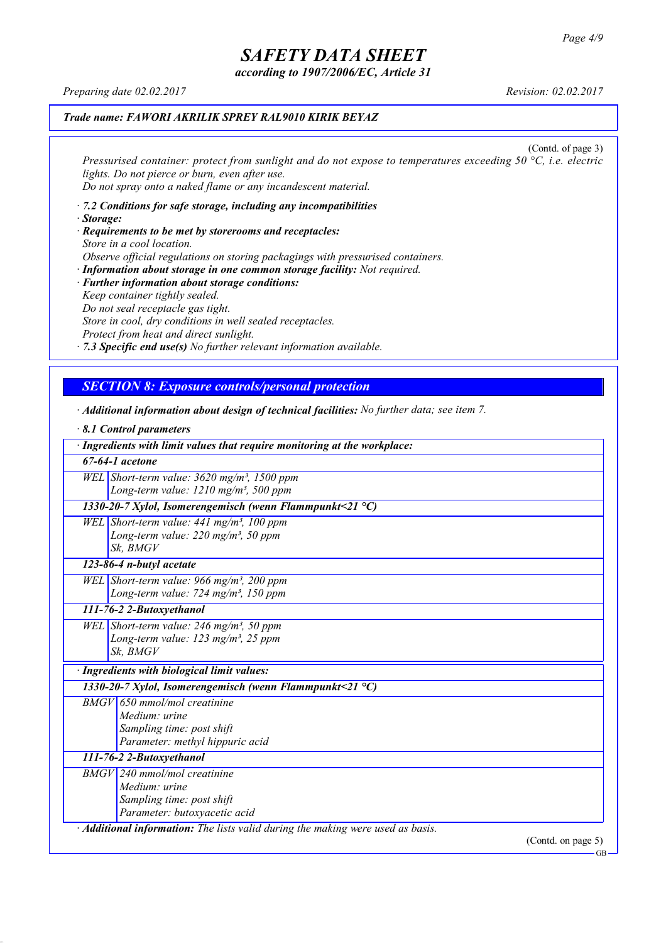*according to 1907/2006/EC, Article 31*

*Preparing date 02.02.2017 Revision: 02.02.2017*

### *Trade name: FAWORI AKRILIK SPREY RAL9010 KIRIK BEYAZ*

(Contd. of page 3) *Pressurised container: protect from sunlight and do not expose to temperatures exceeding 50 °C, i.e. electric lights. Do not pierce or burn, even after use. Do not spray onto a naked flame or any incandescent material.*

- *· 7.2 Conditions for safe storage, including any incompatibilities · Storage:*
- *· Requirements to be met by storerooms and receptacles: Store in a cool location. Observe official regulations on storing packagings with pressurised containers.*
- *· Information about storage in one common storage facility: Not required. · Further information about storage conditions: Keep container tightly sealed. Do not seal receptacle gas tight. Store in cool, dry conditions in well sealed receptacles. Protect from heat and direct sunlight.*

*· 7.3 Specific end use(s) No further relevant information available.*

### *SECTION 8: Exposure controls/personal protection*

*· Additional information about design of technical facilities: No further data; see item 7.*

| $\cdot$ 8.1 Control parameters                                                         |
|----------------------------------------------------------------------------------------|
| · Ingredients with limit values that require monitoring at the workplace:              |
| $67-64-1$ acetone                                                                      |
| WEL Short-term value: $3620$ mg/m <sup>3</sup> , 1500 ppm                              |
| Long-term value: $1210$ mg/m <sup>3</sup> , 500 ppm                                    |
| 1330-20-7 Xylol, Isomerengemisch (wenn Flammpunkt<21 $^{\circ}$ C)                     |
| WEL Short-term value: $441$ mg/m <sup>3</sup> , 100 ppm                                |
| Long-term value: 220 mg/m <sup>3</sup> , 50 ppm                                        |
| Sk, BMGV                                                                               |
| 123-86-4 n-butyl acetate                                                               |
| WEL Short-term value: 966 mg/m <sup>3</sup> , 200 ppm                                  |
| Long-term value: $724$ mg/m <sup>3</sup> , 150 ppm                                     |
| 111-76-2 2-Butoxyethanol                                                               |
| WEL Short-term value: 246 mg/m <sup>3</sup> , 50 ppm                                   |
| Long-term value: $123$ mg/m <sup>3</sup> , 25 ppm                                      |
| Sk. BMGV                                                                               |
| · Ingredients with biological limit values:                                            |
| 1330-20-7 Xylol, Isomerengemisch (wenn Flammpunkt<21 $^{\circ}$ C)                     |
| $BMGV$ 650 mmol/mol creatinine                                                         |
| Medium: urine                                                                          |
| Sampling time: post shift                                                              |
| Parameter: methyl hippuric acid                                                        |
| 111-76-2 2-Butoxyethanol                                                               |
| $BMGV$ 240 mmol/mol creatinine                                                         |
| Medium: urine                                                                          |
| Sampling time: post shift                                                              |
| Parameter: butoxyacetic acid                                                           |
| · <b>Additional information:</b> The lists valid during the making were used as basis. |
| (Contd. on page 5)                                                                     |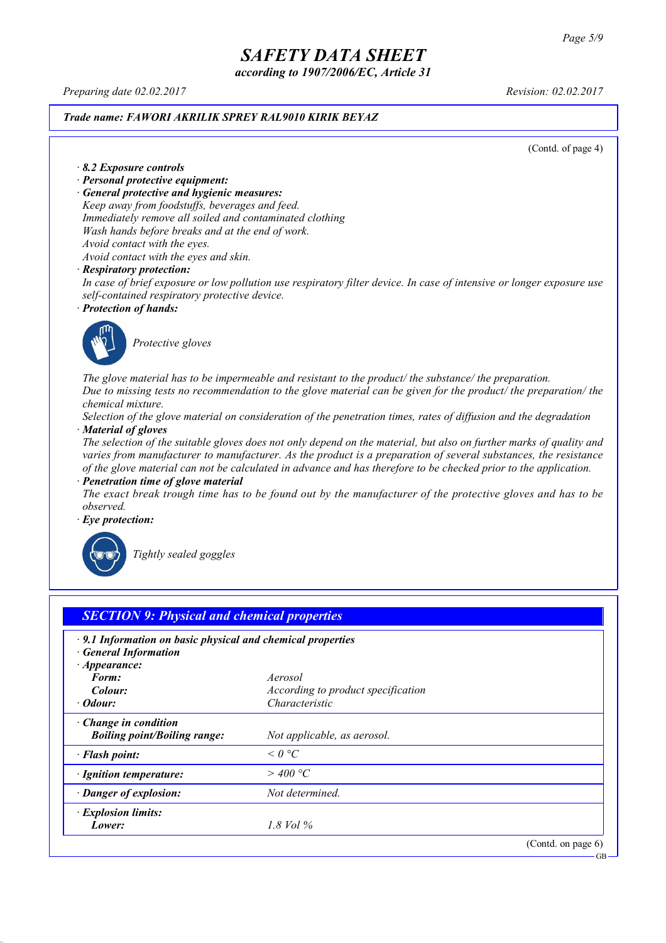*according to 1907/2006/EC, Article 31*

*Preparing date 02.02.2017 Revision: 02.02.2017*

#### *Trade name: FAWORI AKRILIK SPREY RAL9010 KIRIK BEYAZ*

(Contd. of page 4)

*· 8.2 Exposure controls*

- *· Personal protective equipment:*
- *· General protective and hygienic measures:*

*Keep away from foodstuffs, beverages and feed. Immediately remove all soiled and contaminated clothing Wash hands before breaks and at the end of work. Avoid contact with the eyes.*

*Avoid contact with the eyes and skin.*

#### *· Respiratory protection:*

In case of brief exposure or low pollution use respiratory filter device. In case of intensive or longer exposure use *self-contained respiratory protective device.*

*· Protection of hands:*



*Protective gloves*

*The glove material has to be impermeable and resistant to the product/ the substance/ the preparation.* Due to missing tests no recommendation to the glove material can be given for the product/ the preparation/ the *chemical mixture.*

Selection of the glove material on consideration of the penetration times, rates of diffusion and the degradation *· Material of gloves*

The selection of the suitable gloves does not only depend on the material, but also on further marks of quality and *varies from manufacturer to manufacturer. As the product is a preparation of several substances, the resistance* of the glove material can not be calculated in advance and has therefore to be checked prior to the application.

*· Penetration time of glove material*

The exact break trough time has to be found out by the manufacturer of the protective gloves and has to be *observed.*

*· Eye protection:*



*Tightly sealed goggles*

| $\cdot$ 9.1 Information on basic physical and chemical properties<br><b>General Information</b> |                                    |  |
|-------------------------------------------------------------------------------------------------|------------------------------------|--|
| $\cdot$ Appearance:<br>Form:                                                                    | Aerosol                            |  |
| Colour:                                                                                         | According to product specification |  |
| $\cdot$ Odour:                                                                                  | Characteristic                     |  |
| $\cdot$ Change in condition<br><b>Boiling point/Boiling range:</b>                              | Not applicable, as aerosol.        |  |
| · Flash point:                                                                                  | $\leq 0$ °C                        |  |
| · Ignition temperature:                                                                         | $>$ 400 °C                         |  |
| · Danger of explosion:                                                                          | Not determined.                    |  |
| · Explosion limits:                                                                             |                                    |  |
| Lower:                                                                                          | 1.8 Vol $\%$                       |  |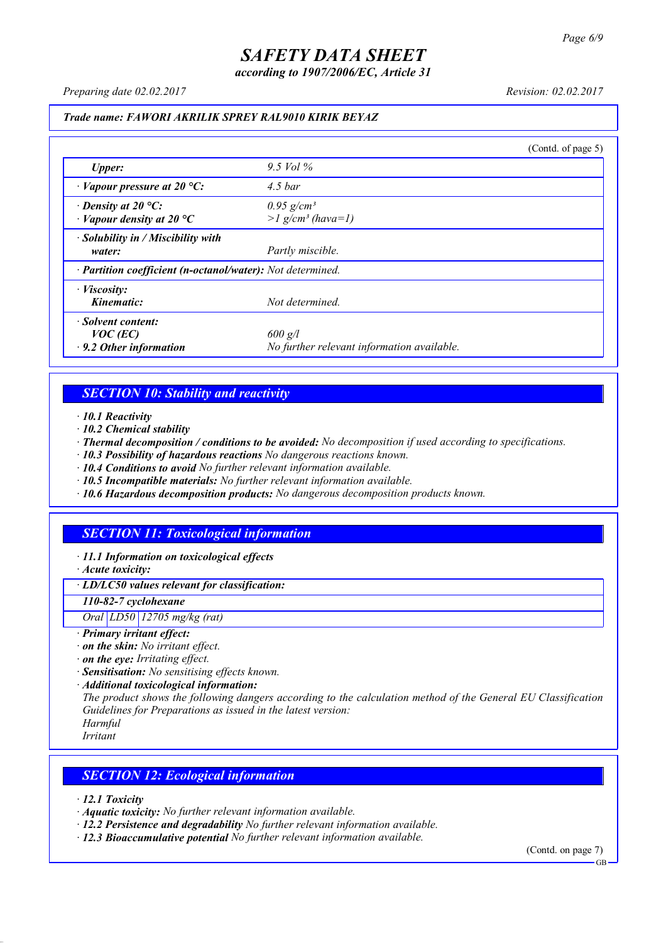*according to 1907/2006/EC, Article 31*

*Preparing date 02.02.2017 Revision: 02.02.2017*

#### *Trade name: FAWORI AKRILIK SPREY RAL9010 KIRIK BEYAZ*

|                                                                   |                                                             | (Contd. of page 5) |
|-------------------------------------------------------------------|-------------------------------------------------------------|--------------------|
| Upper:                                                            | 9.5 Vol $\%$                                                |                    |
| $\cdot$ Vapour pressure at 20 °C:                                 | $4.5\,bar$                                                  |                    |
| $\cdot$ Density at 20 °C:<br>$\cdot$ Vapour density at 20 °C      | $0.95$ g/cm <sup>3</sup><br>$>l$ g/cm <sup>3</sup> (hava=1) |                    |
| $\cdot$ Solubility in / Miscibility with<br>water:                | Partly miscible.                                            |                    |
| · Partition coefficient (n-octanol/water): Not determined.        |                                                             |                    |
| $\cdot$ <i>Viscosity:</i><br>Kinematic:                           | Not determined.                                             |                    |
| · Solvent content:<br>$VOC$ (EC)<br>$\cdot$ 9.2 Other information | $600$ g/l<br>No further relevant information available.     |                    |

### *SECTION 10: Stability and reactivity*

*· 10.1 Reactivity*

- *· 10.2 Chemical stability*
- *· Thermal decomposition / conditions to be avoided: No decomposition if used according to specifications.*
- *· 10.3 Possibility of hazardous reactions No dangerous reactions known.*
- *· 10.4 Conditions to avoid No further relevant information available.*
- *· 10.5 Incompatible materials: No further relevant information available.*
- *· 10.6 Hazardous decomposition products: No dangerous decomposition products known.*

### *SECTION 11: Toxicological information*

*· 11.1 Information on toxicological effects*

*· Acute toxicity:*

*· LD/LC50 values relevant for classification:*

*110-82-7 cyclohexane*

*Oral LD50 12705 mg/kg (rat)*

- *· Primary irritant effect:*
- *· on the skin: No irritant effect.*
- *· on the eye: Irritating effect.*
- *· Sensitisation: No sensitising effects known.*
- *· Additional toxicological information:*

*The product shows the following dangers according to the calculation method of the General EU Classification Guidelines for Preparations as issued in the latest version:*

*Harmful*

*Irritant*

### *SECTION 12: Ecological information*

*· 12.1 Toxicity*

- *· Aquatic toxicity: No further relevant information available.*
- *· 12.2 Persistence and degradability No further relevant information available.*
- *· 12.3 Bioaccumulative potential No further relevant information available.*

(Contd. on page 7)

**GB**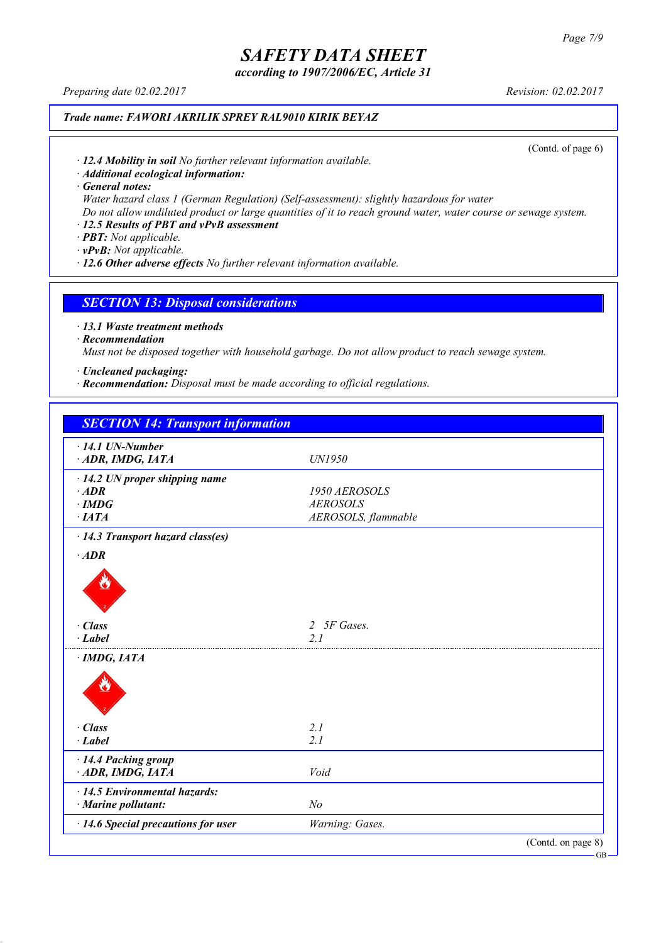*according to 1907/2006/EC, Article 31*

*Preparing date 02.02.2017 Revision: 02.02.2017*

### *Trade name: FAWORI AKRILIK SPREY RAL9010 KIRIK BEYAZ*

(Contd. of page 6)

*· 12.4 Mobility in soil No further relevant information available.*

*· Additional ecological information:*

*· General notes:*

*Water hazard class 1 (German Regulation) (Self-assessment): slightly hazardous for water*

Do not allow undiluted product or large quantities of it to reach ground water, water course or sewage system.

### *· 12.5 Results of PBT and vPvB assessment*

*· PBT: Not applicable.*

*· vPvB: Not applicable.*

*· 12.6 Other adverse effects No further relevant information available.*

#### *SECTION 13: Disposal considerations*

*· 13.1 Waste treatment methods*

*· Recommendation*

*Must not be disposed together with household garbage. Do not allow product to reach sewage system.*

*· Uncleaned packaging:*

*· Recommendation: Disposal must be made according to official regulations.*

| <b>SECTION 14: Transport information</b>               |                     |                    |
|--------------------------------------------------------|---------------------|--------------------|
| $\cdot$ 14.1 UN-Number<br>ADR, IMDG, IATA              | UN1950              |                    |
|                                                        |                     |                    |
| $\cdot$ 14.2 UN proper shipping name<br>$·$ <i>ADR</i> | 1950 AEROSOLS       |                    |
| $\cdot$ IMDG                                           | <b>AEROSOLS</b>     |                    |
| $\cdot$ IATA                                           | AEROSOLS, flammable |                    |
|                                                        |                     |                    |
| $\cdot$ 14.3 Transport hazard class(es)                |                     |                    |
| $·$ <i>ADR</i>                                         |                     |                    |
|                                                        |                     |                    |
| $\cdot$ Class                                          | 2 5F Gases.         |                    |
| $\cdot$ Label                                          | 2.1                 |                    |
| $\cdot$ IMDG, IATA                                     |                     |                    |
|                                                        |                     |                    |
| · Class                                                | 2.1                 |                    |
| $\cdot$ Label                                          | 2.1                 |                    |
| · 14.4 Packing group                                   |                     |                    |
| ADR, IMDG, IATA                                        | Void                |                    |
| · 14.5 Environmental hazards:                          |                     |                    |
| · Marine pollutant:                                    | N <sub>o</sub>      |                    |
| · 14.6 Special precautions for user                    | Warning: Gases.     |                    |
|                                                        |                     | (Contd. on page 8) |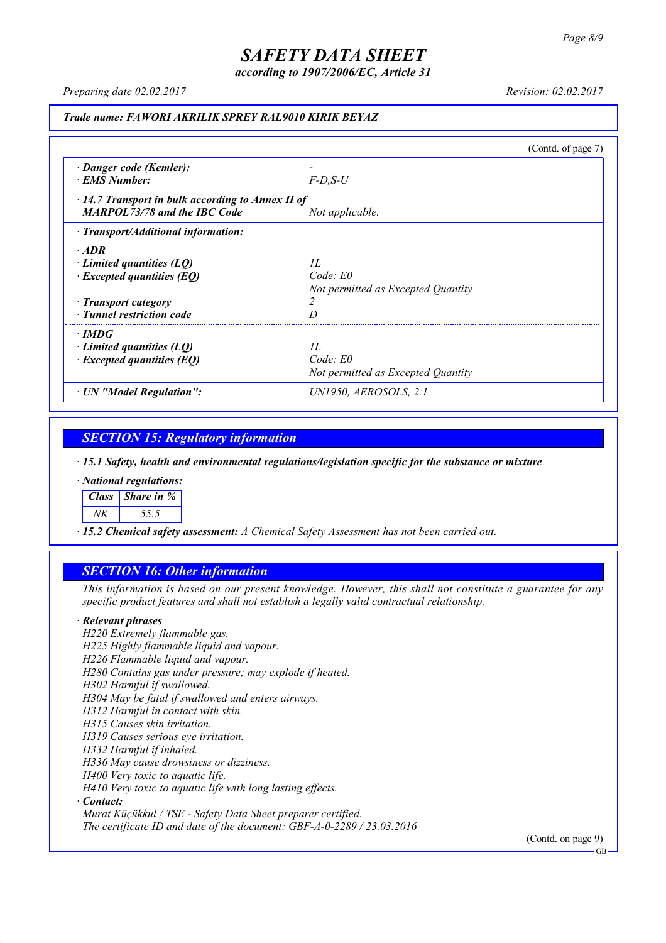*according to 1907/2006/EC, Article 31*

*Preparing date 02.02.2017 Revision: 02.02.2017*

#### *Trade name: FAWORI AKRILIK SPREY RAL9010 KIRIK BEYAZ*

(Contd. of page 7) *· Danger code (Kemler): - · EMS Number: F-D,S-U · 14.7 Transport in bulk according to Annex II of MARPOL73/78 and the IBC Code Not applicable. · Transport/Additional information: · ADR · Limited quantities (LQ) 1L · Excepted quantities (EQ) Code: E0 Not permitted as Excepted Quantity · Transport category 2 · Tunnel restriction code D · IMDG · Limited quantities (LQ) 1L · Excepted quantities (EQ) Code: E0 Not permitted as Excepted Quantity · UN "Model Regulation": UN1950, AEROSOLS, 2.1*

### *SECTION 15: Regulatory information*

*· 15.1 Safety, health and environmental regulations/legislation specific for the substance or mixture*

*· National regulations:*

*Class Share in %*

*NK 55.5*

*· 15.2 Chemical safety assessment: A Chemical Safety Assessment has not been carried out.*

### *SECTION 16: Other information*

This information is based on our present knowledge. However, this shall not constitute a guarantee for any *specific product features and shall not establish a legally valid contractual relationship.*

#### *· Relevant phrases*

*H220 Extremely flammable gas. H225 Highly flammable liquid and vapour. H226 Flammable liquid and vapour. H280 Contains gas under pressure; may explode if heated. H302 Harmful if swallowed. H304 May be fatal if swallowed and enters airways. H312 Harmful in contact with skin. H315 Causes skin irritation. H319 Causes serious eye irritation. H332 Harmful if inhaled. H336 May cause drowsiness or dizziness. H400 Very toxic to aquatic life. H410 Very toxic to aquatic life with long lasting effects. · Contact: Murat Küçükkul / TSE - Safety Data Sheet preparer certified.*

*The certificate ID and date of the document: GBF-A-0-2289 / 23.03.2016*

(Contd. on page 9)